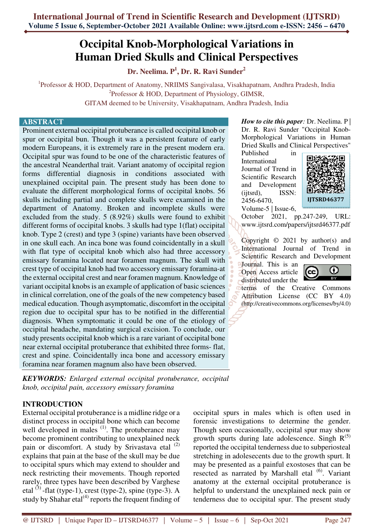# **Occipital Knob-Morphological Variations in Human Dried Skulls and Clinical Perspectives**

**Dr. Neelima. P<sup>1</sup> , Dr. R. Ravi Sunder<sup>2</sup>**

<sup>1</sup>Professor & HOD, Department of Anatomy, NRIIMS Sangivalasa, Visakhapatnam, Andhra Pradesh, India <sup>2</sup>Professor & HOD, Department of Physiology, GIMSR, GITAM deemed to be University, Visakhapatnam, Andhra Pradesh, India

#### **ABSTRACT**

Prominent external occipital protuberance is called occipital knob or spur or occipital bun. Though it was a persistent feature of early modern Europeans, it is extremely rare in the present modern era. Occipital spur was found to be one of the characteristic features of the ancestral Neanderthal trait. Variant anatomy of occipital region forms differential diagnosis in conditions associated with unexplained occipital pain. The present study has been done to evaluate the different morphological forms of occipital knobs. 56 skulls including partial and complete skulls were examined in the department of Anatomy. Broken and incomplete skulls were excluded from the study. 5 (8.92%) skulls were found to exhibit different forms of occipital knobs. 3 skulls had type 1(flat) occipital knob. Type 2 (crest) and type 3 (spine) variants have been observed in one skull each. An inca bone was found coincidentally in a skull with flat type of occipital knob which also had three accessory emissary foramina located near foramen magnum. The skull with crest type of occipital knob had two accessory emissary foramina-at the external occipital crest and near foramen magnum. Knowledge of variant occipital knobs is an example of application of basic sciences in clinical correlation, one of the goals of the new competency based medical education. Though asymptomatic, discomfort in the occipital region due to occipital spur has to be notified in the differential diagnosis. When symptomatic it could be one of the etiology of occipital headache, mandating surgical excision. To conclude, our study presents occipital knob which is a rare variant of occipital bone near external occipital protuberance that exhibited three forms- flat, crest and spine. Coincidentally inca bone and accessory emissary foramina near foramen magnum also have been observed.

*KEYWORDS: Enlarged external occipital protuberance, occipital knob, occipital pain, accessory emissary foramina* 

## **INTRODUCTION**

External occipital protuberance is a midline ridge or a distinct process in occipital bone which can become well developed in males  $(1)$ . The protuberance may become prominent contributing to unexplained neck pain or discomfort. A study by Srivastava etal  $(2)$ explains that pain at the base of the skull may be due to occipital spurs which may extend to shoulder and neck restricting their movements. Though reported rarely, three types have been described by Varghese etal  $^{(3)}$ -flat (type-1), crest (type-2), spine (type-3). A study by Shahar etal $^{(4)}$  reports the frequent finding of

*How to cite this paper*: Dr. Neelima. P Dr. R. Ravi Sunder "Occipital Knob-Morphological Variations in Human Dried Skulls and Clinical Perspectives"

Published in International Journal of Trend in Scientific Research and Development (ijtsrd), ISSN: 2456-6470, Volume-5 | Issue-6,



October 2021, pp.247-249, URL: www.ijtsrd.com/papers/ijtsrd46377.pdf

Copyright  $\odot$  2021 by author(s) and International Journal of Trend in Scientific Research and Development

Journal. This is an Open Access article distributed under the



terms of the Creative Commons Attribution License (CC BY 4.0) (http://creativecommons.org/licenses/by/4.0)

occipital spurs in males which is often used in forensic investigations to determine the gender. Though seen occasionally, occipital spur may show growth spurts during late adolescence. Singh  $R^{(5)}$ reported the occipital tenderness due to subperiosteal stretching in adolesecents due to the growth spurt. It may be presented as a painful exostoses that can be resected as narrated by Marshall etal  $(6)$ . Variant anatomy at the external occipital protuberance is helpful to understand the unexplained neck pain or tenderness due to occipital spur. The present study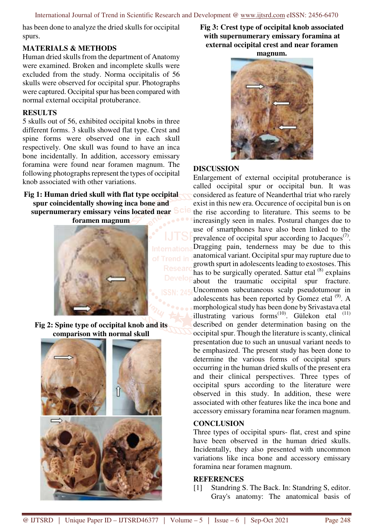has been done to analyze the dried skulls for occipital spurs.

## **MATERIALS & METHODS**

Human dried skulls from the department of Anatomy were examined. Broken and incomplete skulls were excluded from the study. Norma occipitalis of 56 skulls were observed for occipital spur. Photographs were captured. Occipital spur has been compared with normal external occipital protuberance.

#### **RESULTS**

5 skulls out of 56, exhibited occipital knobs in three different forms. 3 skulls showed flat type. Crest and spine forms were observed one in each skull respectively. One skull was found to have an inca bone incidentally. In addition, accessory emissary foramina were found near foramen magnum. The following photographs represent the types of occipital knob associated with other variations.

#### **Fig 1: Human dried skull with flat type occipital spur coincidentally showing inca bone and supernumerary emissary veins located near foramen magnum**



**Fig 2: Spine type of occipital knob and its comparison with normal skull** 



**Fig 3: Crest type of occipital knob associated with supernumerary emissary foramina at external occipital crest and near foramen** 

**magnum.** 



## **DISCUSSION**

Enlargement of external occipital protuberance is called occipital spur or occipital bun. It was considered as feature of Neanderthal triat who rarely exist in this new era. Occurence of occipital bun is on the rise according to literature. This seems to be increasingly seen in males. Postural changes due to use of smartphones have also been linked to the prevalence of occipital spur according to Jacques<sup> $(7)$ </sup>. Dragging pain, tenderness may be due to this anatomical variant. Occipital spur may rupture due to growth spurt in adolescents leading to exostoses. This has to be surgically operated. Sattur etal  $(8)$  explains about the traumatic occipital spur fracture. Uncommon subcutaneous scalp pseudotumour in adolescents has been reported by Gomez etal  $^{(9)}$ . A morphological study has been done by Srivastava etal illustrating various forms<sup> $(10)$ </sup>. Gülekon etal  $(11)$ described on gender determination basing on the occipital spur. Though the literature is scanty, clinical presentation due to such an unusual variant needs to be emphasized. The present study has been done to determine the various forms of occipital spurs occurring in the human dried skulls of the present era and their clinical perspectives. Three types of occipital spurs according to the literature were observed in this study. In addition, these were associated with other features like the inca bone and accessory emissary foramina near foramen magnum.

## **CONCLUSION**

Three types of occipital spurs- flat, crest and spine have been observed in the human dried skulls. Incidentally, they also presented with uncommon variations like inca bone and accessory emissary foramina near foramen magnum.

#### **REFERENCES**

[1] Standring S. The Back. In: Standring S, editor. Gray's anatomy: The anatomical basis of